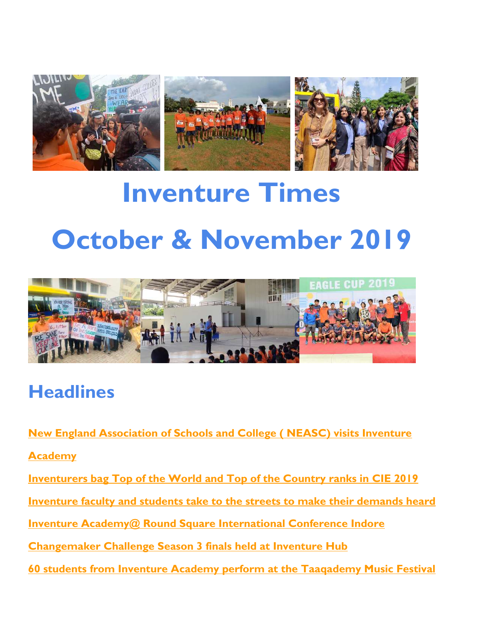

# **Inventure Times October & November 2019**



# **Headlines**

**New England Association of Schools and College ( NEASC) visits Inventure** 

**Academy**

**Inventurers bag Top of the World and Top of the Country ranks in CIE 2019**

**Inventure faculty and students take to the streets to make their demands heard**

**Inventure Academy@ Round Square International Conference Indore**

**Changemaker Challenge Season 3 finals held at Inventure Hub**

**60 students from Inventure Academy perform at the Taaqademy Music Festival**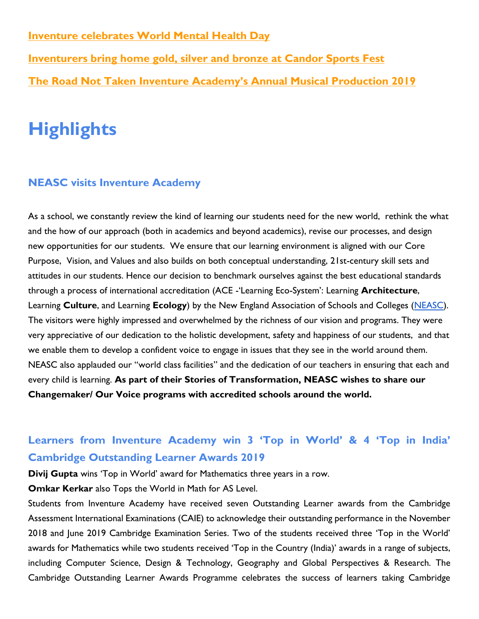**Inventure celebrates World Mental Health Day** 

**Inventurers bring home gold, silver and bronze at Candor Sports Fest The Road Not Taken Inventure Academy's Annual Musical Production 2019**

# **Highlights**

#### **NEASC visits Inventure Academy**

As a school, we constantly review the kind of learning our students need for the new world, rethink the what and the how of our approach (both in academics and beyond academics), revise our processes, and design new opportunities for our students. We ensure that our learning environment is aligned with our Core Purpose, Vision, and Values and also builds on both conceptual understanding, 21st-century skill sets and attitudes in our students. Hence our decision to benchmark ourselves against the best educational standards through a process of international accreditation (ACE -'Learning Eco-System': Learning **Architecture**, Learning **Culture**, and Learning **Ecology**) by the New England Association of Schools and Colleges [\(NEASC\)](https://cie.neasc.org/ace). The visitors were highly impressed and overwhelmed by the richness of our vision and programs. They were very appreciative of our dedication to the holistic development, safety and happiness of our students, and that we enable them to develop a confident voice to engage in issues that they see in the world around them. NEASC also applauded our "world class facilities" and the dedication of our teachers in ensuring that each and every child is learning. **As part of their Stories of Transformation, NEASC wishes to share our Changemaker/ Our Voice programs with accredited schools around the world.**

## **Learners from Inventure Academy win 3 'Top in World' & 4 'Top in India' Cambridge Outstanding Learner Awards 2019**

**Divij Gupta** wins 'Top in World' award for Mathematics three years in a row.

**Omkar Kerkar** also Tops the World in Math for AS Level.

Students from Inventure Academy have received seven Outstanding Learner awards from the Cambridge Assessment International Examinations (CAIE) to acknowledge their outstanding performance in the November 2018 and June 2019 Cambridge Examination Series. Two of the students received three 'Top in the World' awards for Mathematics while two students received 'Top in the Country (India)' awards in a range of subjects, including Computer Science, Design & Technology, Geography and Global Perspectives & Research. The Cambridge Outstanding Learner Awards Programme celebrates the success of learners taking Cambridge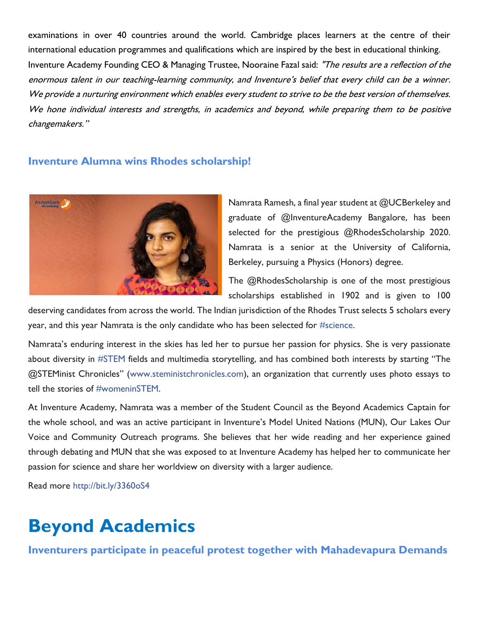examinations in over 40 countries around the world. Cambridge places learners at the centre of their international education programmes and qualifications which are inspired by the best in educational thinking. Inventure Academy Founding CEO & Managing Trustee, Nooraine Fazal said: "The results are a reflection of the enormous talent in our teaching-learning community, and Inventure's belief that every child can be a winner. We provide a nurturing environment which enables every student to strive to be the best version of themselves. We hone individual interests and strengths, in academics and beyond, while preparing them to be positive changemakers."

#### **Inventure Alumna wins Rhodes scholarship!**



Namrata Ramesh, a final year student at @UCBerkeley and graduate of @InventureAcademy Bangalore, has been selected for the prestigious @RhodesScholarship 2020. Namrata is a senior at the University of California, Berkeley, pursuing a Physics (Honors) degree.

The @RhodesScholarship is one of the most prestigious scholarships established in 1902 and is given to 100

deserving candidates from across the world. The Indian jurisdiction of the Rhodes Trust selects 5 scholars every year, and this year Namrata is the only candidate who has been selected for [#science.](https://www.facebook.com/hashtag/science?source=feed_text&epa=HASHTAG&__xts__%5B0%5D=68.ARCadmD_ce3F2BEON7Su_MV5VYiXXbZwZPb2T0dRsydVTtY5zidxp_n_rijPPRmj9DbdSNdovcGKMG5pIDEP9EFvoADAd4yEz9HMowIwq0FbpLwHyjsMA_FMJoNkLdf2aYF_DEtdUrTFNxgGg8Z6DfmWPUjgSJbkYIttWo_XKVmaaV5jPCO3WnkPGvLIP3RSaAPGfTw9AYfhbb85g_HOmZvi-hMRLyTvrWCdNSBA2yxgcE_LD-AqTKvd-JpKGXqxsAwx-HYjO7I-R36M2XaIt0JB_t1BhRCxetDDodcCKvpb6xqB63X_qzn9SuKGuCvSxASJXblguTxVp1gqCYg1ix3WMg&__tn__=%2ANK-R)

Namrata's enduring interest in the skies has led her to pursue her passion for physics. She is very passionate about diversity in [#STEM](https://www.facebook.com/hashtag/stem?source=feed_text&epa=HASHTAG&__xts__%5B0%5D=68.ARCadmD_ce3F2BEON7Su_MV5VYiXXbZwZPb2T0dRsydVTtY5zidxp_n_rijPPRmj9DbdSNdovcGKMG5pIDEP9EFvoADAd4yEz9HMowIwq0FbpLwHyjsMA_FMJoNkLdf2aYF_DEtdUrTFNxgGg8Z6DfmWPUjgSJbkYIttWo_XKVmaaV5jPCO3WnkPGvLIP3RSaAPGfTw9AYfhbb85g_HOmZvi-hMRLyTvrWCdNSBA2yxgcE_LD-AqTKvd-JpKGXqxsAwx-HYjO7I-R36M2XaIt0JB_t1BhRCxetDDodcCKvpb6xqB63X_qzn9SuKGuCvSxASJXblguTxVp1gqCYg1ix3WMg&__tn__=%2ANK-R) fields and multimedia storytelling, and has combined both interests by starting "The @STEMinist Chronicles" ([www.steministchronicles.com\)](http://www.steministchronicles.com/?fbclid=IwAR26mxMyrJJR966Tg8756Kic2285rjfUCvNhhhRaWP_gHqz5EkfCks4kNog), an organization that currently uses photo essays to tell the stories of [#womeninSTEM.](https://www.facebook.com/hashtag/womeninstem?source=feed_text&epa=HASHTAG&__xts__%5B0%5D=68.ARCadmD_ce3F2BEON7Su_MV5VYiXXbZwZPb2T0dRsydVTtY5zidxp_n_rijPPRmj9DbdSNdovcGKMG5pIDEP9EFvoADAd4yEz9HMowIwq0FbpLwHyjsMA_FMJoNkLdf2aYF_DEtdUrTFNxgGg8Z6DfmWPUjgSJbkYIttWo_XKVmaaV5jPCO3WnkPGvLIP3RSaAPGfTw9AYfhbb85g_HOmZvi-hMRLyTvrWCdNSBA2yxgcE_LD-AqTKvd-JpKGXqxsAwx-HYjO7I-R36M2XaIt0JB_t1BhRCxetDDodcCKvpb6xqB63X_qzn9SuKGuCvSxASJXblguTxVp1gqCYg1ix3WMg&__tn__=%2ANK-R)

At Inventure Academy, Namrata was a member of the Student Council as the Beyond Academics Captain for the whole school, and was an active participant in Inventure's Model United Nations (MUN), Our Lakes Our Voice and Community Outreach programs. She believes that her wide reading and her experience gained through debating and MUN that she was exposed to at Inventure Academy has helped her to communicate her passion for science and share her worldview on diversity with a larger audience.

Read more [http://bit.ly/3360oS4](https://l.facebook.com/l.php?u=https%3A%2F%2Fbit.ly%2F3360oS4%3Ffbclid%3DIwAR3MMB2hmQxhXdauqoQSg8-zW-TUdJy4gRzQb2SVLAVrsoSKmZdL3quOdmI&h=AT3sJ11XT2U9xFfT50Qe13DeuDF4ZG_7rcLvsbybV1yAUv6gNzUcHldpoXBdemW5MjXUgeCN_j5PnkRAhhTrV3AdmgkdL02mvn9TBf79U_FvwuL85Q5awGMxFbRBFXFf2-HjhREa5e5kFrfrFmdO9yozVoasINZ_1vNVAmGFJK0YP9BU-lUD0_u-rWIQ1VYWAfXLm7hb94If593ohtUPlU0CfJ5Kgdl_UfBh1nKMNEfcPAAM5cvB1vW_B6DsgsS9SQe7K82fN1rGUWCrW3vPanlUAE7OfPa2OFpnlpORn7LRLnDlqEpneN8lYhghRkddlcwW9Fbn_DDkqC86m9kfceXgETvClwES6j7MiefsDZeBImWS9TyOC2VUb5NMmbFOorZRFWyUhZ-cLhMOcRmuxEZceXSwU0V0Y1jzZSdwYhk2_6vqut88uaKmaWyHc3RzGiZi54G5Zo88kldOueF9l6fysV2FdkK8_S2mATcyfpTdOUKJQWE3W8GYtPjwmiIuv05exDhAkp6yx3N-KAjemOLAlpf6UAkUDll4YlLQpCmwoaZtRFf5_h8-geL2br5Fo07ePxP0PKk-ca4H15gPIXueJ_XXmxRZ4_sS4QJtjRm1gonWaRb1VSWkkTveBfpLiAE)

# **Beyond Academics**

**Inventurers participate in peaceful protest together with Mahadevapura Demands**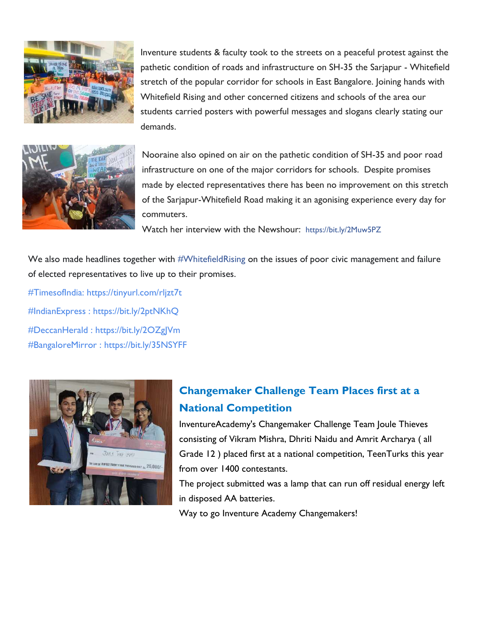

Inventure students & faculty took to the streets on a peaceful protest against the pathetic condition of roads and infrastructure on SH-35 the Sarjapur - Whitefield stretch of the popular corridor for schools in East Bangalore. Joining hands with Whitefield Rising and other concerned citizens and schools of the area our students carried posters with powerful messages and slogans clearly stating our demands.

Nooraine also opined on air on the pathetic condition of SH-35 and poor road infrastructure on one of the major corridors for schools. Despite promises made by elected representatives there has been no improvement on this stretch of the Sarjapur-Whitefield Road making it an agonising experience every day for commuters.

Watch her interview with the Newshour: [https://bit.ly/2Muw5PZ](https://bit.ly/2Muw5PZ?fbclid=IwAR3ydFpT-sAMpv2dpSAgBs73KdiiDfOTe-XI7lv-n4BnF2skSIXPm65-7OY)

We also made headlines together with [#WhitefieldRising](https://www.facebook.com/hashtag/whitefieldrising?source=feed_text&epa=HASHTAG&__xts__%5B0%5D=68.ARBPBoftM6gLA9bSwDVrTA1jpFZQrLOcEZUiXKbT_6akdrD4EiHRDFtSA1xw7vJQthPCTcmL9vGD2pg-d2sQbvn2tQuIwu4m56XoQNPseiaHYw3Wdmo26xoE_2kCFxRvkqyOrJzncLV1V3CIZhgxp4fJgevj45BxL1oTP-6l5bNuxq9BcAINlB5pWT9nhgzbwXiKcc4QD0_yTtDnFqvVwrmlc1HID5BldV1JS0ZjMkJs8kSdjGeh7APxX42G4uoTIxjARhNToYwDInjpIBZG6NJCDAF02qVS58wByJNA4OhBgxyuaAlp81SFBHyS9W2Vo61y6AMfCLDorU0UCSrfxDEXuQ&__tn__=%2ANK-R) on the issues of poor civic management and failure of elected representatives to live up to their promises.

#TimesofIndia: https://tinyurl.com/rljzt7t [#IndianExpress](https://www.facebook.com/hashtag/indianexpress?source=feed_text&epa=HASHTAG&__xts__%5B0%5D=68.ARBPBoftM6gLA9bSwDVrTA1jpFZQrLOcEZUiXKbT_6akdrD4EiHRDFtSA1xw7vJQthPCTcmL9vGD2pg-d2sQbvn2tQuIwu4m56XoQNPseiaHYw3Wdmo26xoE_2kCFxRvkqyOrJzncLV1V3CIZhgxp4fJgevj45BxL1oTP-6l5bNuxq9BcAINlB5pWT9nhgzbwXiKcc4QD0_yTtDnFqvVwrmlc1HID5BldV1JS0ZjMkJs8kSdjGeh7APxX42G4uoTIxjARhNToYwDInjpIBZG6NJCDAF02qVS58wByJNA4OhBgxyuaAlp81SFBHyS9W2Vo61y6AMfCLDorU0UCSrfxDEXuQ&__tn__=%2ANK-R) : [https://bit.ly/2ptNKhQ](https://bit.ly/2ptNKhQ?fbclid=IwAR2IyhOzA22PvVmDlXbd0GgI1kX5COQqOUjckoCP4dmRlim78VFFJKoh32o) [#DeccanHerald](https://www.facebook.com/hashtag/deccanherald?source=feed_text&epa=HASHTAG&__xts__%5B0%5D=68.ARBPBoftM6gLA9bSwDVrTA1jpFZQrLOcEZUiXKbT_6akdrD4EiHRDFtSA1xw7vJQthPCTcmL9vGD2pg-d2sQbvn2tQuIwu4m56XoQNPseiaHYw3Wdmo26xoE_2kCFxRvkqyOrJzncLV1V3CIZhgxp4fJgevj45BxL1oTP-6l5bNuxq9BcAINlB5pWT9nhgzbwXiKcc4QD0_yTtDnFqvVwrmlc1HID5BldV1JS0ZjMkJs8kSdjGeh7APxX42G4uoTIxjARhNToYwDInjpIBZG6NJCDAF02qVS58wByJNA4OhBgxyuaAlp81SFBHyS9W2Vo61y6AMfCLDorU0UCSrfxDEXuQ&__tn__=%2ANK-R) : [https://bit.ly/2OZgJVm](https://bit.ly/2OZgJVm?fbclid=IwAR2hMCJn7MH_PuF1BAQFxzJNJbkHTU5-UE3ym14fIy_lloAo6Gu_AzTekTM) [#BangaloreMirror](https://www.facebook.com/hashtag/bangaloremirror?source=feed_text&epa=HASHTAG&__xts__%5B0%5D=68.ARBPBoftM6gLA9bSwDVrTA1jpFZQrLOcEZUiXKbT_6akdrD4EiHRDFtSA1xw7vJQthPCTcmL9vGD2pg-d2sQbvn2tQuIwu4m56XoQNPseiaHYw3Wdmo26xoE_2kCFxRvkqyOrJzncLV1V3CIZhgxp4fJgevj45BxL1oTP-6l5bNuxq9BcAINlB5pWT9nhgzbwXiKcc4QD0_yTtDnFqvVwrmlc1HID5BldV1JS0ZjMkJs8kSdjGeh7APxX42G4uoTIxjARhNToYwDInjpIBZG6NJCDAF02qVS58wByJNA4OhBgxyuaAlp81SFBHyS9W2Vo61y6AMfCLDorU0UCSrfxDEXuQ&__tn__=%2ANK-R) : [https://bit.ly/35NSYFF](https://bit.ly/35NSYFF?fbclid=IwAR2rkKWUn5Wa1BLhsajgYOQAH02GfwrK_BLHrps4A0XZUrl9HBzU3VvZEYk)



# **Changemaker Challenge Team Places first at a National Competition**

[InventureAcademy's](https://www.facebook.com/hashtag/inventureacademy?epa=HASHTAG) [Changemaker Challenge](https://www.facebook.com/hashtag/changemakerchallenge?epa=HASHTAG) Team Joule Thieves consisting of Vikram Mishra, Dhriti Naidu and Amrit Archarya ( all Grade 12 ) placed first at a national competition, [TeenTurks](https://www.facebook.com/hashtag/teenturks?epa=HASHTAG) this year from over 1400 contestants.

The project submitted was a lamp that can run off residual energy left in disposed AA batteries.

Way to go Inventure Academy Changemakers!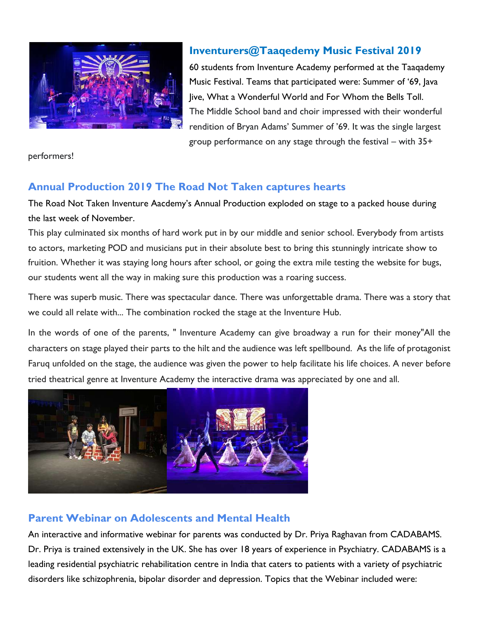

#### **Inventurers@Taaqedemy Music Festival 2019**

60 students from Inventure Academy performed at the Taaqademy Music Festival. Teams that participated were: Summer of '69, Java Jive, What a Wonderful World and For Whom the Bells Toll. The Middle School band and choir impressed with their wonderful rendition of Bryan Adams' Summer of '69. It was the single largest group performance on any stage through the festival – with 35+

performers!

### **Annual Production 2019 The Road Not Taken captures hearts**

The Road Not Taken Inventure Aacdemy's Annual Production exploded on stage to a packed house during the last week of November.

This play culminated six months of hard work put in by our middle and senior school. Everybody from artists to actors, marketing POD and musicians put in their absolute best to bring this stunningly intricate show to fruition. Whether it was staying long hours after school, or going the extra mile testing the website for bugs, our students went all the way in making sure this production was a roaring success.

There was superb music. There was spectacular dance. There was unforgettable drama. There was a story that we could all relate with... The combination rocked the stage at the Inventure Hub.

In the words of one of the parents, " Inventure Academy can give broadway a run for their money"All the characters on stage played their parts to the hilt and the audience was left spellbound. As the life of protagonist Faruq unfolded on the stage, the audience was given the power to help facilitate his life choices. A never before tried theatrical genre at Inventure Academy the interactive drama was appreciated by one and all.



### **Parent Webinar on Adolescents and Mental Health**

An interactive and informative webinar for parents was conducted by Dr. Priya Raghavan from CADABAMS. Dr. Priya is trained extensively in the UK. She has over 18 years of experience in Psychiatry. CADABAMS is a leading residential psychiatric rehabilitation centre in India that caters to patients with a variety of psychiatric disorders like schizophrenia, bipolar disorder and depression. Topics that the Webinar included were: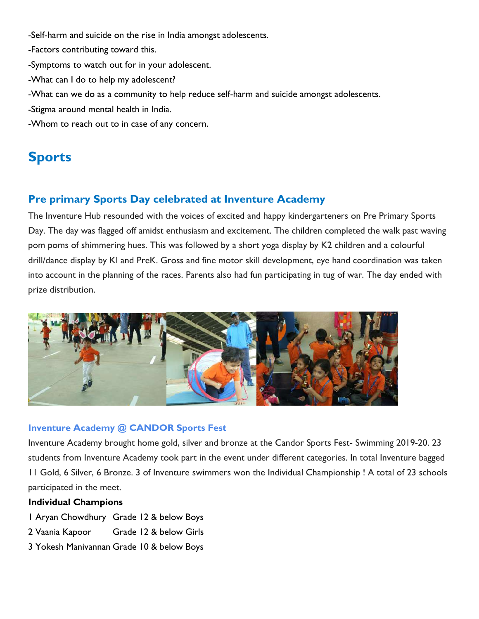- -Self-harm and suicide on the rise in India amongst adolescents.
- -Factors contributing toward this.
- -Symptoms to watch out for in your adolescent.
- -What can I do to help my adolescent?
- -What can we do as a community to help reduce self-harm and suicide amongst adolescents.
- -Stigma around mental health in India.
- -Whom to reach out to in case of any concern.

# **Sports**

#### **Pre primary Sports Day celebrated at Inventure Academy**

The Inventure Hub resounded with the voices of excited and happy kindergarteners on Pre Primary Sports Day. The day was flagged off amidst enthusiasm and excitement. The children completed the walk past waving pom poms of shimmering hues. This was followed by a short yoga display by K2 children and a colourful drill/dance display by KI and PreK. Gross and fine motor skill development, eye hand coordination was taken into account in the planning of the races. Parents also had fun participating in tug of war. The day ended with prize distribution.



#### **Inventure Academy @ CANDOR Sports Fest**

Inventure Academy brought home gold, silver and bronze at the Candor Sports Fest- Swimming 2019-20. 23 students from Inventure Academy took part in the event under different categories. In total Inventure bagged 11 Gold, 6 Silver, 6 Bronze. 3 of Inventure swimmers won the Individual Championship ! A total of 23 schools participated in the meet.

#### **Individual Champions**

- 1 Aryan Chowdhury Grade 12 & below Boys
- 2 Vaania Kapoor Grade 12 & below Girls
- 3 Yokesh Manivannan Grade 10 & below Boys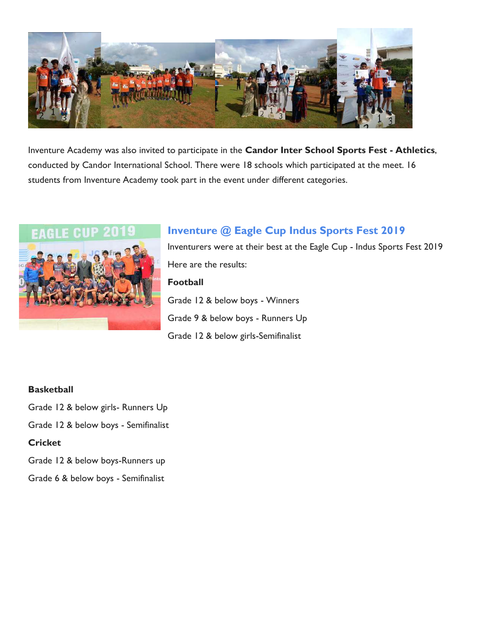

Inventure Academy was also invited to participate in the **Candor Inter School Sports Fest - Athletics**, conducted by Candor International School. There were 18 schools which participated at the meet. 16 students from Inventure Academy took part in the event under different categories.



# **Inventure @ Eagle Cup Indus Sports Fest 2019**

Inventurers were at their best at the Eagle Cup - Indus Sports Fest 2019 Here are the results: **Football** Grade 12 & below boys - Winners Grade 9 & below boys - Runners Up Grade 12 & below girls-Semifinalist

#### **Basketball**

Grade 12 & below girls- Runners Up

Grade 12 & below boys - Semifinalist

#### **Cricket**

Grade 12 & below boys-Runners up

Grade 6 & below boys - Semifinalist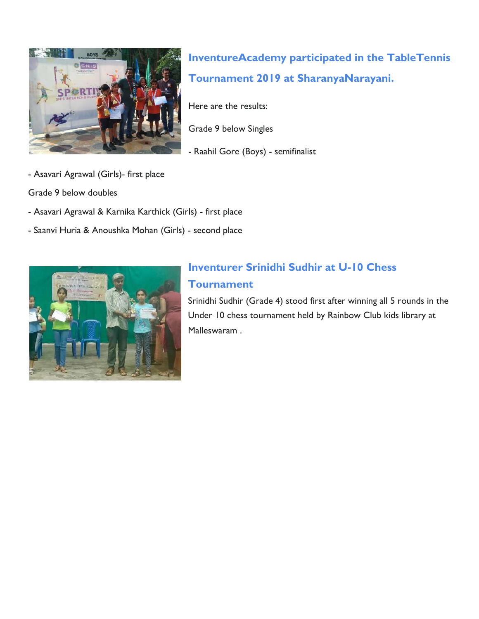

**[InventureAcademy](https://www.facebook.com/hashtag/inventureacademy?source=feed_text&epa=HASHTAG&__xts__%5B0%5D=68.ARBn54bHr_jfjpbmUMeSwqFWQZfxsu727flv0pwfD1RwxJUSe-2VuVYwh3Q7coYFHVPjDYRk9_dmjHEJlWgZp1IJJeRsq9vX_Tzz9GzhynveGmtAvcQIv9VlkePpGOZvBm0s5uvC_sV1Gbb9oexphcigLa4jf89EliflvRp0vxr980s7Lh4WAsmjdyyzwqherKcSwHGcntIVSs0dWAegN56CPQWuM8T7hhAgSOw2qdoWWYG2A0wYaPGMI9kPnfKLqwjxq_NK56KxoFFHFP1Kxxu2NEB1EhfcZsG_izpYMfWM3ktsH6aCwEIiC6RKc5cZSlYnCkaXXRCGyoPz8aWkOnetNA&__tn__=%2ANK-R) participated in the [TableTennis](https://www.facebook.com/hashtag/tabletennis?source=feed_text&epa=HASHTAG&__xts__%5B0%5D=68.ARBn54bHr_jfjpbmUMeSwqFWQZfxsu727flv0pwfD1RwxJUSe-2VuVYwh3Q7coYFHVPjDYRk9_dmjHEJlWgZp1IJJeRsq9vX_Tzz9GzhynveGmtAvcQIv9VlkePpGOZvBm0s5uvC_sV1Gbb9oexphcigLa4jf89EliflvRp0vxr980s7Lh4WAsmjdyyzwqherKcSwHGcntIVSs0dWAegN56CPQWuM8T7hhAgSOw2qdoWWYG2A0wYaPGMI9kPnfKLqwjxq_NK56KxoFFHFP1Kxxu2NEB1EhfcZsG_izpYMfWM3ktsH6aCwEIiC6RKc5cZSlYnCkaXXRCGyoPz8aWkOnetNA&__tn__=%2ANK-R) Tournament 2019 at [SharanyaNarayani.](https://www.facebook.com/hashtag/sharanyanarayani?source=feed_text&epa=HASHTAG&__xts__%5B0%5D=68.ARBn54bHr_jfjpbmUMeSwqFWQZfxsu727flv0pwfD1RwxJUSe-2VuVYwh3Q7coYFHVPjDYRk9_dmjHEJlWgZp1IJJeRsq9vX_Tzz9GzhynveGmtAvcQIv9VlkePpGOZvBm0s5uvC_sV1Gbb9oexphcigLa4jf89EliflvRp0vxr980s7Lh4WAsmjdyyzwqherKcSwHGcntIVSs0dWAegN56CPQWuM8T7hhAgSOw2qdoWWYG2A0wYaPGMI9kPnfKLqwjxq_NK56KxoFFHFP1Kxxu2NEB1EhfcZsG_izpYMfWM3ktsH6aCwEIiC6RKc5cZSlYnCkaXXRCGyoPz8aWkOnetNA&__tn__=%2ANK-R)**

Here are the results:

Grade 9 below Singles

- Raahil Gore (Boys) - semifinalist

- Asavari Agrawal (Girls)- first place

Grade 9 below doubles

- Asavari Agrawal & Karnika Karthick (Girls) first place
- Saanvi Huria & Anoushka Mohan (Girls) second place



### **Inventurer Srinidhi Sudhir at U-10 Chess Tournament**

Srinidhi Sudhir (Grade 4) stood first after winning all 5 rounds in the Under 10 chess tournament held by Rainbow Club kids library at Malleswaram .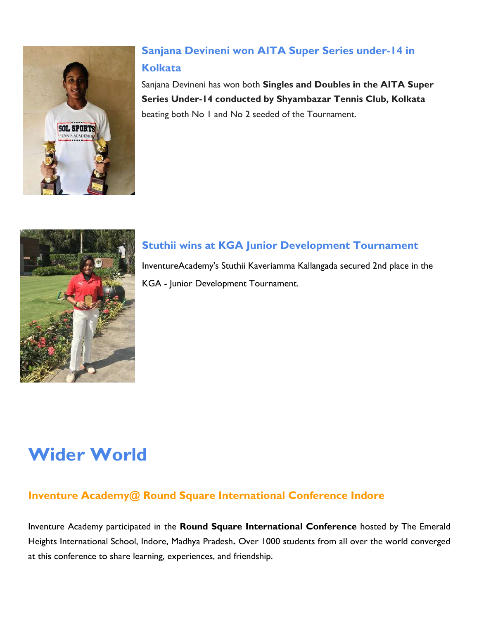

# **Sanjana Devineni won AITA Super Series under-14 in Kolkata**

Sanjana Devineni has won both **Singles and Doubles in the AITA Super Series Under-14 conducted by Shyambazar Tennis Club, Kolkata** beating both No 1 and No 2 seeded of the Tournament.



### **Stuthii wins at KGA Junior Development Tournament**

[InventureAcademy'](https://www.facebook.com/hashtag/inventureacademy?epa=HASHTAG)s [Stuthii Kaveriamma](https://www.facebook.com/hashtag/stuthiikaveriamma?epa=HASHTAG) Kallangada secured 2nd place in the [KGA](https://www.facebook.com/hashtag/kga?epa=HASHTAG) - Junior Development Tournament.

# **Wider World**

### **Inventure Academy@ Round Square International Conference Indore**

Inventure Academy participated in the **Round Square International Conference** hosted by The Emerald Heights International School, Indore, Madhya Pradesh**.** Over 1000 students from all over the world converged at this conference to share learning, experiences, and friendship.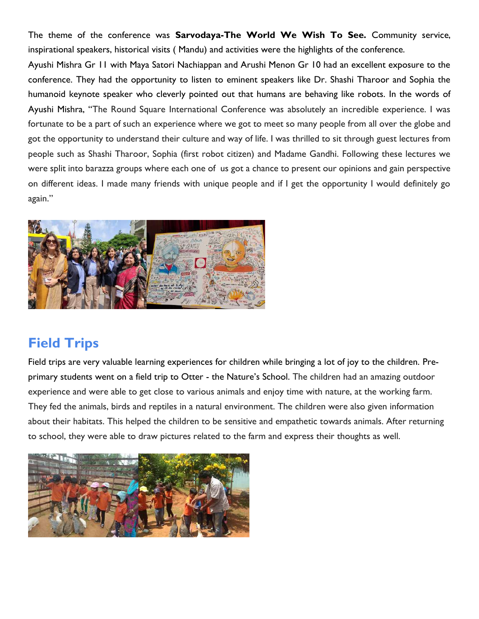The theme of the conference was **Sarvodaya-The World We Wish To See.** Community service, inspirational speakers, historical visits ( Mandu) and activities were the highlights of the conference.

Ayushi Mishra Gr 11 with Maya Satori Nachiappan and Arushi Menon Gr 10 had an excellent exposure to the conference. They had the opportunity to listen to eminent speakers like Dr. Shashi Tharoor and Sophia the humanoid keynote speaker who cleverly pointed out that humans are behaving like robots. In the words of Ayushi Mishra, "The Round Square International Conference was absolutely an incredible experience. I was fortunate to be a part of such an experience where we got to meet so many people from all over the globe and got the opportunity to understand their culture and way of life. I was thrilled to sit through guest lectures from people such as Shashi Tharoor, Sophia (first robot citizen) and Madame Gandhi. Following these lectures we were split into barazza groups where each one of us got a chance to present our opinions and gain perspective on different ideas. I made many friends with unique people and if I get the opportunity I would definitely go again."



# **Field Trips**

Field trips are very valuable learning experiences for children while bringing a lot of joy to the children. Preprimary students went on a field trip to Otter - the Nature's School. The children had an amazing outdoor experience and were able to get close to various animals and enjoy time with nature, at the working farm. They fed the animals, birds and reptiles in a natural environment. The children were also given information about their habitats. This helped the children to be sensitive and empathetic towards animals. After returning to school, they were able to draw pictures related to the farm and express their thoughts as well.

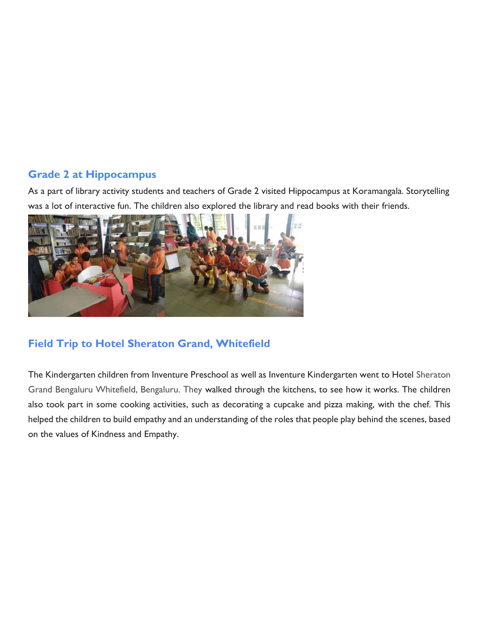#### **Grade 2 at Hippocampus**

As a part of library activity students and teachers of Grade 2 visited Hippocampus at Koramangala. Storytelling was a lot of interactive fun. The children also explored the library and read books with their friends.



### **Field Trip to Hotel Sheraton Grand, Whitefield**

The Kindergarten children from Inventure Preschool as well as Inventure Kindergarten went to Hotel Sheraton Grand Bengaluru Whitefield, Bengaluru. They walked through the kitchens, to see how it works. The children also took part in some cooking activities, such as decorating a cupcake and pizza making, with the chef. This helped the children to build empathy and an understanding of the roles that people play behind the scenes, based on the values of Kindness and Empathy.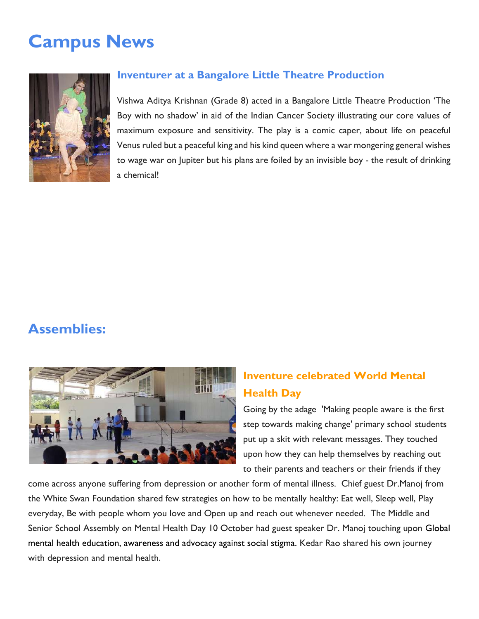# **Campus News**



#### **Inventurer at a Bangalore Little Theatre Production**

Vishwa Aditya Krishnan (Grade 8) acted in a Bangalore Little Theatre Production 'The Boy with no shadow' in aid of the Indian Cancer Society illustrating our core values of maximum exposure and sensitivity. The play is a comic caper, about life on peaceful Venus ruled but a peaceful king and his kind queen where a war mongering general wishes to wage war on Jupiter but his plans are foiled by an invisible boy - the result of drinking a chemical!

# **Assemblies:**



## **Inventure celebrated World Mental Health Day**

Going by the adage 'Making people aware is the first step towards making change' primary school students put up a skit with relevant messages. They touched upon how they can help themselves by reaching out to their parents and teachers or their friends if they

come across anyone suffering from depression or another form of mental illness. Chief guest Dr.Manoj from the White Swan Foundation shared few strategies on how to be mentally healthy: Eat well, Sleep well, Play everyday, Be with people whom you love and Open up and reach out whenever needed. The Middle and Senior School Assembly on Mental Health Day 10 October had guest speaker Dr. Manoj touching upon Global mental health education, awareness and advocacy against social stigma. Kedar Rao shared his own journey with depression and mental health.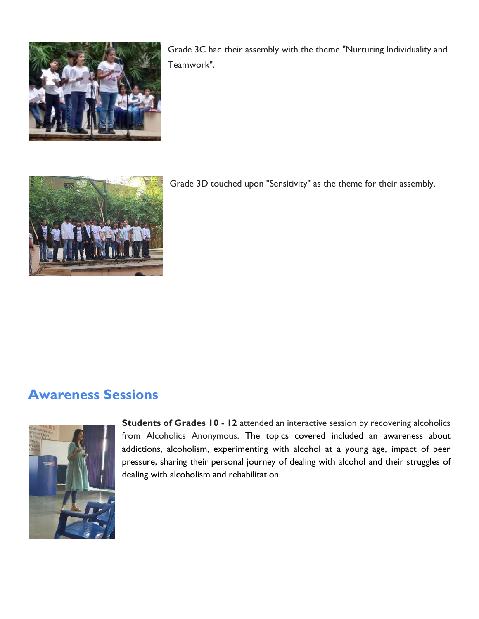

Grade 3C had their assembly with the theme "Nurturing Individuality and Teamwork".



Grade 3D touched upon "Sensitivity" as the theme for their assembly.

# **Awareness Sessions**



**Students of Grades 10 - 12** attended an interactive session by recovering alcoholics from Alcoholics Anonymous. The topics covered included an awareness about addictions, alcoholism, experimenting with alcohol at a young age, impact of peer pressure, sharing their personal journey of dealing with alcohol and their struggles of dealing with alcoholism and rehabilitation.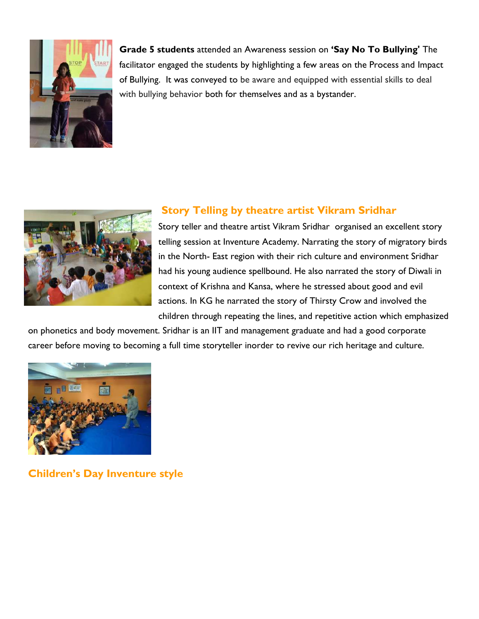

**Grade 5 students** attended an Awareness session on **'Say No To Bullying'** The facilitator engaged the students by highlighting a few areas on the Process and Impact of Bullying. It was conveyed to be aware and equipped with essential skills to deal with bullying behavior both for themselves and as a bystander.



#### **Story Telling by theatre artist Vikram Sridhar**

Story teller and theatre artist Vikram Sridhar organised an excellent story telling session at Inventure Academy. Narrating the story of migratory birds in the North- East region with their rich culture and environment Sridhar had his young audience spellbound. He also narrated the story of Diwali in context of Krishna and Kansa, where he stressed about good and evil actions. In KG he narrated the story of Thirsty Crow and involved the children through repeating the lines, and repetitive action which emphasized

on phonetics and body movement. Sridhar is an IIT and management graduate and had a good corporate career before moving to becoming a full time storyteller inorder to revive our rich heritage and culture.



**Children's Day Inventure style**